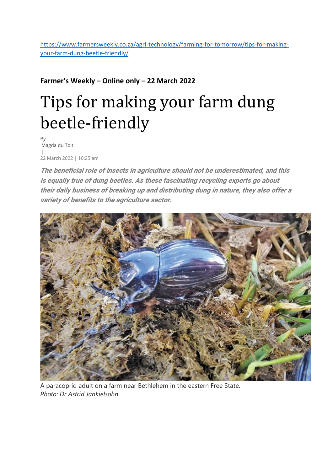[https://www.farmersweekly.co.za/agri-technology/farming-for-tomorrow/tips-for-making](https://www.farmersweekly.co.za/agri-technology/farming-for-tomorrow/tips-for-making-your-farm-dung-beetle-friendly/)[your-farm-dung-beetle-friendly/](https://www.farmersweekly.co.za/agri-technology/farming-for-tomorrow/tips-for-making-your-farm-dung-beetle-friendly/)

## **Farmer's Weekly – Online only – 22 March 2022**

# Tips for making your farm dung beetle-friendly

By Magda du Toit | 22 March 2022 | 10:25 am

**The beneficial role of insects in agriculture should not be underestimated, and this is equally true of dung beetles. As these fascinating recycling experts go about their daily business of breaking up and distributing dung in nature, they also offer a variety of benefits to the agriculture sector.**



A paracoprid adult on a farm near Bethlehem in the eastern Free State. *Photo: Dr Astrid Jankielsohn*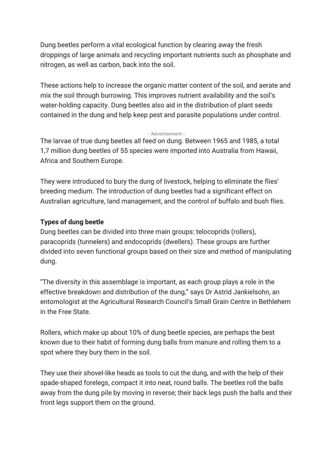Dung beetles perform a vital ecological function by clearing away the fresh droppings of large animals and recycling important nutrients such as phosphate and nitrogen, as well as carbon, back into the soil.

These actions help to increase the organic matter content of the soil, and aerate and mix the soil through burrowing. This improves nutrient availability and the soil's water-holding capacity. Dung beetles also aid in the distribution of plant seeds contained in the dung and help keep pest and parasite populations under control.

#### - Advertisement -

The larvae of true dung beetles all feed on dung. Between 1965 and 1985, a total 1,7 million dung beetles of 55 species were imported into Australia from Hawaii, Africa and Southern Europe.

They were introduced to bury the dung of livestock, helping to eliminate the flies' breeding medium. The introduction of dung beetles had a significant effect on Australian agriculture, land management, and the control of buffalo and bush flies.

#### **Types of dung beetle**

Dung beetles can be divided into three main groups: telocoprids (rollers), paracoprids (tunnelers) and endocoprids (dwellers). These groups are further divided into seven functional groups based on their size and method of manipulating dung.

"The diversity in this assemblage is important, as each group plays a role in the effective breakdown and distribution of the dung," says Dr Astrid Jankielsohn, an entomologist at the Agricultural Research Council's Small Grain Centre in Bethlehem in the Free State.

Rollers, which make up about 10% of dung beetle species, are perhaps the best known due to their habit of forming dung balls from manure and rolling them to a spot where they bury them in the soil.

They use their shovel-like heads as tools to cut the dung, and with the help of their spade-shaped forelegs, compact it into neat, round balls. The beetles roll the balls away from the dung pile by moving in reverse; their back legs push the balls and their front legs support them on the ground.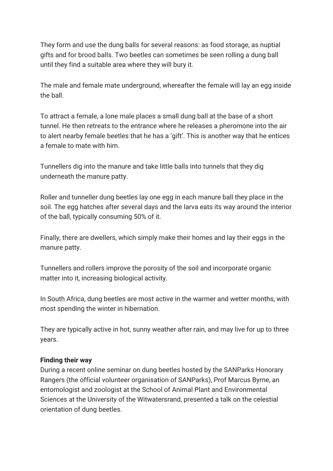They form and use the dung balls for several reasons: as food storage, as nuptial gifts and for brood balls. Two beetles can sometimes be seen rolling a dung ball until they find a suitable area where they will bury it.

The male and female mate underground, whereafter the female will lay an egg inside the ball.

To attract a female, a lone male places a small dung ball at the base of a short tunnel. He then retreats to the entrance where he releases a pheromone into the air to alert nearby female beetles that he has a 'gift'. This is another way that he entices a female to mate with him.

Tunnellers dig into the manure and take little balls into tunnels that they dig underneath the manure patty.

Roller and tunneller dung beetles lay one egg in each manure ball they place in the soil. The egg hatches after several days and the larva eats its way around the interior of the ball, typically consuming 50% of it.

Finally, there are dwellers, which simply make their homes and lay their eggs in the manure patty.

Tunnellers and rollers improve the porosity of the soil and incorporate organic matter into it, increasing biological activity.

In South Africa, dung beetles are most active in the warmer and wetter months, with most spending the winter in hibernation.

They are typically active in hot, sunny weather after rain, and may live for up to three years.

#### **Finding their way**

During a recent online seminar on dung beetles hosted by the SANParks Honorary Rangers (the official volunteer organisation of SANParks), Prof Marcus Byrne, an entomologist and zoologist at the School of Animal Plant and Environmental Sciences at the University of the Witwatersrand, presented a talk on the celestial orientation of dung beetles.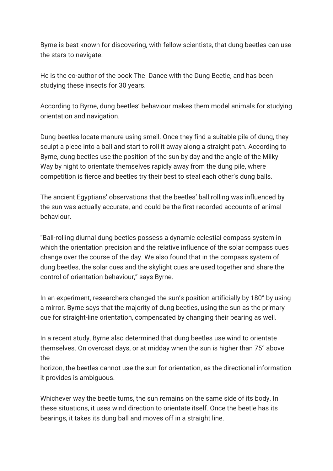Byrne is best known for discovering, with fellow scientists, that dung beetles can use the stars to navigate.

He is the co-author of the book The Dance with the Dung Beetle, and has been studying these insects for 30 years.

According to Byrne, dung beetles' behaviour makes them model animals for studying orientation and navigation.

Dung beetles locate manure using smell. Once they find a suitable pile of dung, they sculpt a piece into a ball and start to roll it away along a straight path. According to Byrne, dung beetles use the position of the sun by day and the angle of the Milky Way by night to orientate themselves rapidly away from the dung pile, where competition is fierce and beetles try their best to steal each other's dung balls.

The ancient Egyptians' observations that the beetles' ball rolling was influenced by the sun was actually accurate, and could be the first recorded accounts of animal behaviour.

"Ball-rolling diurnal dung beetles possess a dynamic celestial compass system in which the orientation precision and the relative influence of the solar compass cues change over the course of the day. We also found that in the compass system of dung beetles, the solar cues and the skylight cues are used together and share the control of orientation behaviour," says Byrne.

In an experiment, researchers changed the sun's position artificially by 180° by using a mirror. Byrne says that the majority of dung beetles, using the sun as the primary cue for straight-line orientation, compensated by changing their bearing as well.

In a recent study, Byrne also determined that dung beetles use wind to orientate themselves. On overcast days, or at midday when the sun is higher than 75° above the

horizon, the beetles cannot use the sun for orientation, as the directional information it provides is ambiguous.

Whichever way the beetle turns, the sun remains on the same side of its body. In these situations, it uses wind direction to orientate itself. Once the beetle has its bearings, it takes its dung ball and moves off in a straight line.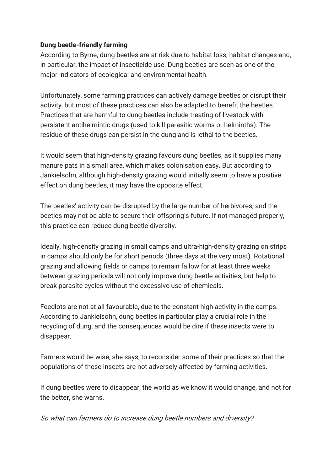### **Dung beetle-friendly farming**

According to Byrne, dung beetles are at risk due to habitat loss, habitat changes and, in particular, the impact of insecticide use. Dung beetles are seen as one of the major indicators of ecological and environmental health.

Unfortunately, some farming practices can actively damage beetles or disrupt their activity, but most of these practices can also be adapted to benefit the beetles. Practices that are harmful to dung beetles include treating of livestock with persistent antihelmintic drugs (used to kill parasitic worms or helminths). The residue of these drugs can persist in the dung and is lethal to the beetles.

It would seem that high-density grazing favours dung beetles, as it supplies many manure pats in a small area, which makes colonisation easy. But according to Jankielsohn, although high-density grazing would initially seem to have a positive effect on dung beetles, it may have the opposite effect.

The beetles' activity can be disrupted by the large number of herbivores, and the beetles may not be able to secure their offspring's future. If not managed properly, this practice can reduce dung beetle diversity.

Ideally, high-density grazing in small camps and ultra-high-density grazing on strips in camps should only be for short periods (three days at the very most). Rotational grazing and allowing fields or camps to remain fallow for at least three weeks between grazing periods will not only improve dung beetle activities, but help to break parasite cycles without the excessive use of chemicals.

Feedlots are not at all favourable, due to the constant high activity in the camps. According to Jankielsohn, dung beetles in particular play a crucial role in the recycling of dung, and the consequences would be dire if these insects were to disappear.

Farmers would be wise, she says, to reconsider some of their practices so that the populations of these insects are not adversely affected by farming activities.

If dung beetles were to disappear, the world as we know it would change, and not for the better, she warns.

So what can farmers do to increase dung beetle numbers and diversity?